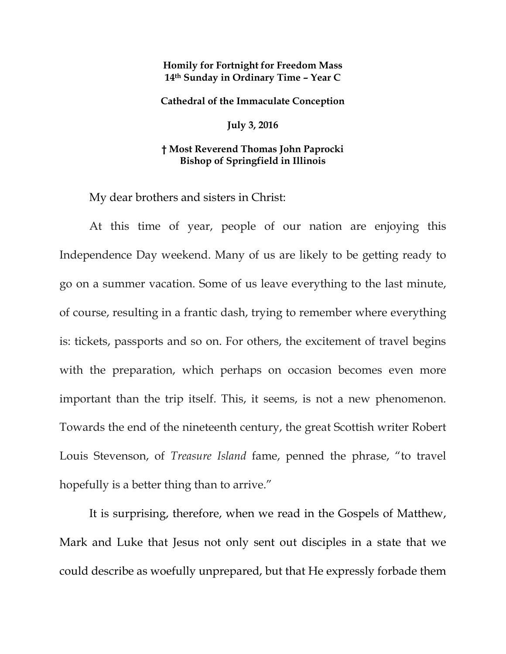## **Homily for Fortnight for Freedom Mass 14th Sunday in Ordinary Time – Year C**

**Cathedral of the Immaculate Conception**

**July 3, 2016**

## **† Most Reverend Thomas John Paprocki Bishop of Springfield in Illinois**

My dear brothers and sisters in Christ:

At this time of year, people of our nation are enjoying this Independence Day weekend. Many of us are likely to be getting ready to go on a summer vacation. Some of us leave everything to the last minute, of course, resulting in a frantic dash, trying to remember where everything is: tickets, passports and so on. For others, the excitement of travel begins with the preparation, which perhaps on occasion becomes even more important than the trip itself. This, it seems, is not a new phenomenon. Towards the end of the nineteenth century, the great Scottish writer Robert Louis Stevenson, of *Treasure Island* fame, penned the phrase, "to travel hopefully is a better thing than to arrive."

It is surprising, therefore, when we read in the Gospels of Matthew, Mark and Luke that Jesus not only sent out disciples in a state that we could describe as woefully unprepared, but that He expressly forbade them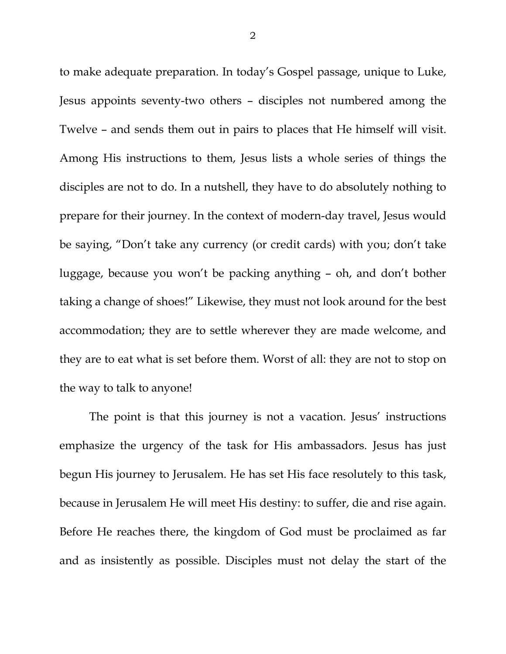to make adequate preparation. In today's Gospel passage, unique to Luke, Jesus appoints seventy-two others – disciples not numbered among the Twelve – and sends them out in pairs to places that He himself will visit. Among His instructions to them, Jesus lists a whole series of things the disciples are not to do. In a nutshell, they have to do absolutely nothing to prepare for their journey. In the context of modern-day travel, Jesus would be saying, "Don't take any currency (or credit cards) with you; don't take luggage, because you won't be packing anything – oh, and don't bother taking a change of shoes!" Likewise, they must not look around for the best accommodation; they are to settle wherever they are made welcome, and they are to eat what is set before them. Worst of all: they are not to stop on the way to talk to anyone!

The point is that this journey is not a vacation. Jesus' instructions emphasize the urgency of the task for His ambassadors. Jesus has just begun His journey to Jerusalem. He has set His face resolutely to this task, because in Jerusalem He will meet His destiny: to suffer, die and rise again. Before He reaches there, the kingdom of God must be proclaimed as far and as insistently as possible. Disciples must not delay the start of the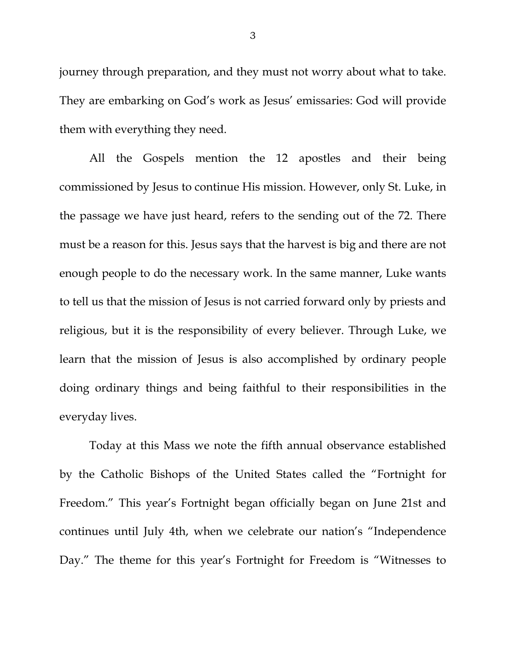journey through preparation, and they must not worry about what to take. They are embarking on God's work as Jesus' emissaries: God will provide them with everything they need.

All the Gospels mention the 12 apostles and their being commissioned by Jesus to continue His mission. However, only St. Luke, in the passage we have just heard, refers to the sending out of the 72. There must be a reason for this. Jesus says that the harvest is big and there are not enough people to do the necessary work. In the same manner, Luke wants to tell us that the mission of Jesus is not carried forward only by priests and religious, but it is the responsibility of every believer. Through Luke, we learn that the mission of Jesus is also accomplished by ordinary people doing ordinary things and being faithful to their responsibilities in the everyday lives.

Today at this Mass we note the fifth annual observance established by the Catholic Bishops of the United States called the "Fortnight for Freedom." This year's Fortnight began officially began on June 21st and continues until July 4th, when we celebrate our nation's "Independence Day." The theme for this year's Fortnight for Freedom is "Witnesses to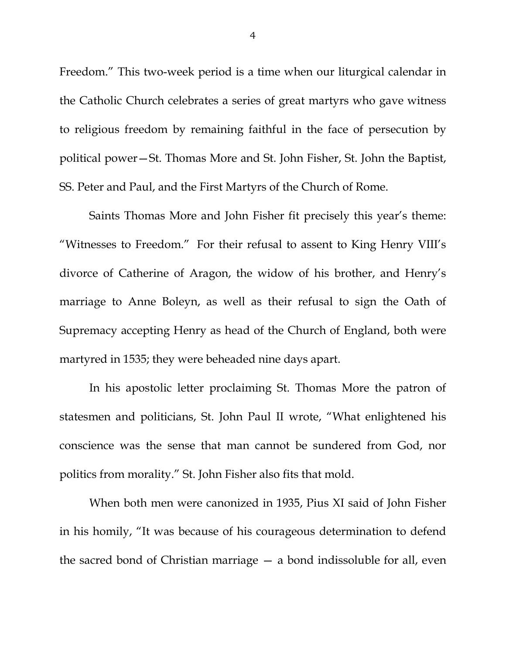Freedom." This two-week period is a time when our liturgical calendar in the Catholic Church celebrates a series of great martyrs who gave witness to religious freedom by remaining faithful in the face of persecution by political power—St. Thomas More and St. John Fisher, St. John the Baptist, SS. Peter and Paul, and the First Martyrs of the Church of Rome.

Saints Thomas More and John Fisher fit precisely this year's theme: "Witnesses to Freedom." For their refusal to assent to King Henry VIII's divorce of Catherine of Aragon, the widow of his brother, and Henry's marriage to Anne Boleyn, as well as their refusal to sign the Oath of Supremacy accepting Henry as head of the Church of England, both were martyred in 1535; they were beheaded nine days apart.

In his apostolic letter proclaiming St. Thomas More the patron of statesmen and politicians, St. John Paul II wrote, "What enlightened his conscience was the sense that man cannot be sundered from God, nor politics from morality." St. John Fisher also fits that mold.

When both men were canonized in 1935, Pius XI said of John Fisher in his homily, "It was because of his courageous determination to defend the sacred bond of Christian marriage — a bond indissoluble for all, even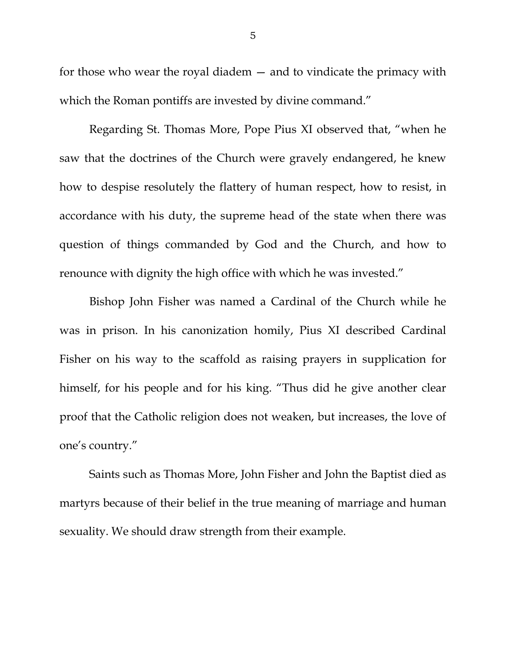for those who wear the royal diadem — and to vindicate the primacy with which the Roman pontiffs are invested by divine command."

Regarding St. Thomas More, Pope Pius XI observed that, "when he saw that the doctrines of the Church were gravely endangered, he knew how to despise resolutely the flattery of human respect, how to resist, in accordance with his duty, the supreme head of the state when there was question of things commanded by God and the Church, and how to renounce with dignity the high office with which he was invested."

Bishop John Fisher was named a Cardinal of the Church while he was in prison. In his canonization homily, Pius XI described Cardinal Fisher on his way to the scaffold as raising prayers in supplication for himself, for his people and for his king. "Thus did he give another clear proof that the Catholic religion does not weaken, but increases, the love of one's country."

Saints such as Thomas More, John Fisher and John the Baptist died as martyrs because of their belief in the true meaning of marriage and human sexuality. We should draw strength from their example.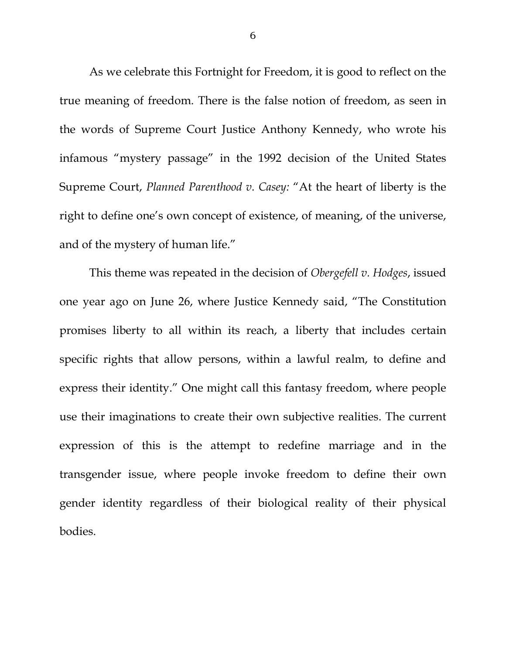As we celebrate this Fortnight for Freedom, it is good to reflect on the true meaning of freedom. There is the false notion of freedom, as seen in the words of Supreme Court Justice Anthony Kennedy, who wrote his infamous "mystery passage" in the 1992 decision of the United States Supreme Court, *Planned Parenthood v. Casey:* "At the heart of liberty is the right to define one's own concept of existence, of meaning, of the universe, and of the mystery of human life."

This theme was repeated in the decision of *Obergefell v. Hodges*, issued one year ago on June 26, where Justice Kennedy said, "The Constitution promises liberty to all within its reach, a liberty that includes certain specific rights that allow persons, within a lawful realm, to define and express their identity." One might call this fantasy freedom, where people use their imaginations to create their own subjective realities. The current expression of this is the attempt to redefine marriage and in the transgender issue, where people invoke freedom to define their own gender identity regardless of their biological reality of their physical bodies.